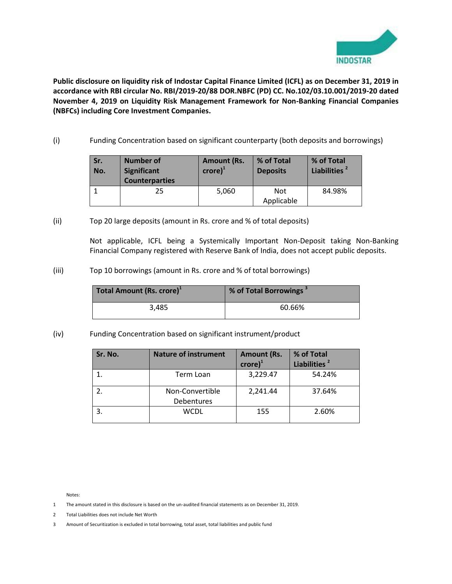

**Public disclosure on liquidity risk of Indostar Capital Finance Limited (ICFL) as on December 31, 2019 in accordance with RBI circular No. RBI/2019-20/88 DOR.NBFC (PD) CC. No.102/03.10.001/2019-20 dated November 4, 2019 on Liquidity Risk Management Framework for Non-Banking Financial Companies (NBFCs) including Core Investment Companies.** 

(i) Funding Concentration based on significant counterparty (both deposits and borrowings)

| Sr.<br>No. | <b>Number of</b><br><b>Significant</b><br><b>Counterparties</b> | <b>Amount (Rs.</b><br>$\mathsf{crore}\mathsf{)}^1$ | % of Total<br><b>Deposits</b> | % of Total<br>Liabilities <sup>2</sup> |
|------------|-----------------------------------------------------------------|----------------------------------------------------|-------------------------------|----------------------------------------|
|            | 25                                                              | 5,060                                              | Not<br>Applicable             | 84.98%                                 |

(ii) Top 20 large deposits (amount in Rs. crore and % of total deposits)

Not applicable, ICFL being a Systemically Important Non-Deposit taking Non-Banking Financial Company registered with Reserve Bank of India, does not accept public deposits.

(iii) Top 10 borrowings (amount in Rs. crore and % of total borrowings)

| Total Amount (Rs. crore) <sup>1</sup> | % of Total Borrowings <sup>3</sup> |
|---------------------------------------|------------------------------------|
| 3.485                                 | 60.66%                             |

(iv) Funding Concentration based on significant instrument/product

| Sr. No. | <b>Nature of instrument</b>   | <b>Amount (Rs.</b><br>$\mathsf{crore}\mathsf{)}^1$ | % of Total<br>Liabilities <sup>2</sup> |
|---------|-------------------------------|----------------------------------------------------|----------------------------------------|
|         | Term Loan                     | 3,229.47                                           | 54.24%                                 |
|         | Non-Convertible<br>Debentures | 2,241.44                                           | 37.64%                                 |
|         | <b>WCDL</b>                   | 155                                                | 2.60%                                  |

Notes:

- 1 The amount stated in this disclosure is based on the un-audited financial statements as on December 31, 2019.
- 2 Total Liabilities does not include Net Worth
- 3 Amount of Securitization is excluded in total borrowing, total asset, total liabilities and public fund